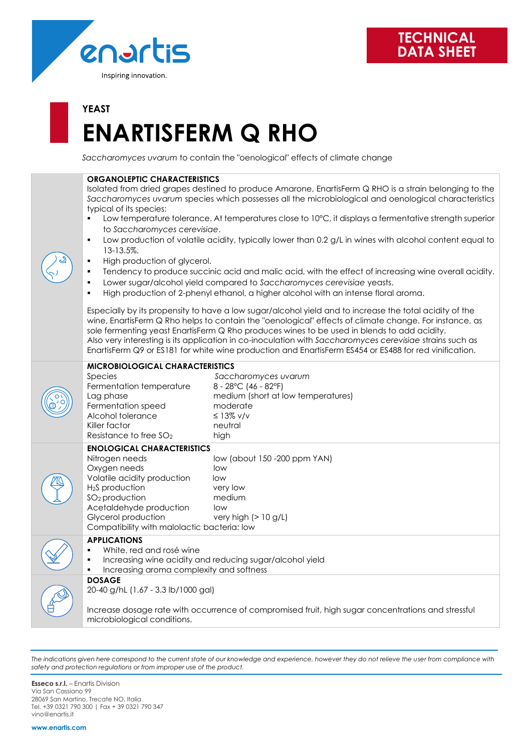

# **YEAST ENARTISFERM Q RHO**

*Saccharomyces uvarum* to contain the "oenological" effects of climate change

| <b>ORGANOLEPTIC CHARACTERISTICS</b><br>Isolated from dried grapes destined to produce Amarone, EnartisFerm Q RHO is a strain belonging to the<br>Saccharomyces uvarum species which possesses all the microbiological and oenological characteristics<br>typical of its species:<br>Low temperature tolerance. At temperatures close to 10°C, it displays a fermentative strength superior<br>$\blacksquare$<br>to Saccharomyces cerevisiae.<br>Low production of volatile acidity, typically lower than 0.2 g/L in wines with alcohol content equal to<br>٠<br>13-13.5%.<br>High production of glycerol.<br>٠<br>Tendency to produce succinic acid and malic acid, with the effect of increasing wine overall acidity.<br>٠<br>Lower sugar/alcohol yield compared to Saccharomyces cerevisiae yeasts.<br>$\blacksquare$<br>High production of 2-phenyl ethanol, a higher alcohol with an intense floral aroma.<br>$\blacksquare$<br>Especially by its propensity to have a low sugar/alcohol yield and to increase the total acidity of the<br>wine, EnartisFerm Q Rho helps to contain the "oenological" effects of climate change. For instance, as<br>sole fermenting yeast EnartisFerm Q Rho produces wines to be used in blends to add acidity.<br>Also very interesting is its application in co-inoculation with Saccharomyces cerevisiae strains such as<br>EnartisFerm Q9 or ES181 for white wine production and EnartisFerm ES454 or ES488 for red vinification. |                                                                                                                                     |
|-----------------------------------------------------------------------------------------------------------------------------------------------------------------------------------------------------------------------------------------------------------------------------------------------------------------------------------------------------------------------------------------------------------------------------------------------------------------------------------------------------------------------------------------------------------------------------------------------------------------------------------------------------------------------------------------------------------------------------------------------------------------------------------------------------------------------------------------------------------------------------------------------------------------------------------------------------------------------------------------------------------------------------------------------------------------------------------------------------------------------------------------------------------------------------------------------------------------------------------------------------------------------------------------------------------------------------------------------------------------------------------------------------------------------------------------------------------------------------|-------------------------------------------------------------------------------------------------------------------------------------|
| <b>MICROBIOLOGICAL CHARACTERISTICS</b><br>Species<br>Fermentation temperature<br>Lag phase<br>Fermentation speed<br>Alcohol tolerance<br>Killer factor<br>Resistance to free SO <sub>2</sub>                                                                                                                                                                                                                                                                                                                                                                                                                                                                                                                                                                                                                                                                                                                                                                                                                                                                                                                                                                                                                                                                                                                                                                                                                                                                                | Saccharomyces uvarum<br>8 - 28°C (46 - 82°F)<br>medium (short at low temperatures)<br>moderate<br>$\leq$ 13% v/v<br>neutral<br>high |
| <b>ENOLOGICAL CHARACTERISTICS</b><br>Nitrogen needs<br>Oxygen needs<br>Volatile acidity production<br>H <sub>2</sub> S production<br>SO <sub>2</sub> production<br>Acetaldehyde production<br>Glycerol production<br>Compatibility with malolactic bacteria: low                                                                                                                                                                                                                                                                                                                                                                                                                                                                                                                                                                                                                                                                                                                                                                                                                                                                                                                                                                                                                                                                                                                                                                                                            | low (about 150 -200 ppm YAN)<br>low<br>low<br>very low<br>medium<br>low<br>very high $(> 10 g/L)$                                   |
| <b>APPLICATIONS</b><br>White, red and rosé wine<br>٠<br>Increasing wine acidity and reducing sugar/alcohol yield<br>٠<br>Increasing aroma complexity and softness<br>٠                                                                                                                                                                                                                                                                                                                                                                                                                                                                                                                                                                                                                                                                                                                                                                                                                                                                                                                                                                                                                                                                                                                                                                                                                                                                                                      |                                                                                                                                     |
| <b>DOSAGE</b><br>20-40 g/hL (1.67 - 3.3 lb/1000 gal)<br>Increase dosage rate with occurrence of compromised fruit, high sugar concentrations and stressful<br>microbiological conditions.                                                                                                                                                                                                                                                                                                                                                                                                                                                                                                                                                                                                                                                                                                                                                                                                                                                                                                                                                                                                                                                                                                                                                                                                                                                                                   |                                                                                                                                     |

*The indications given here correspond to the current state of our knowledge and experience, however they do not relieve the user from compliance with safety and protection regulations or from improper use of the product.*

**Esseco s.r.l.** – Enartis Division Via San Cassiano 99 28069 San Martino, Trecate NO, Italia Tel. +39 0321 790 300 | Fax + 39 0321 790 347 vino@enartis.it

**www.enartis.com**